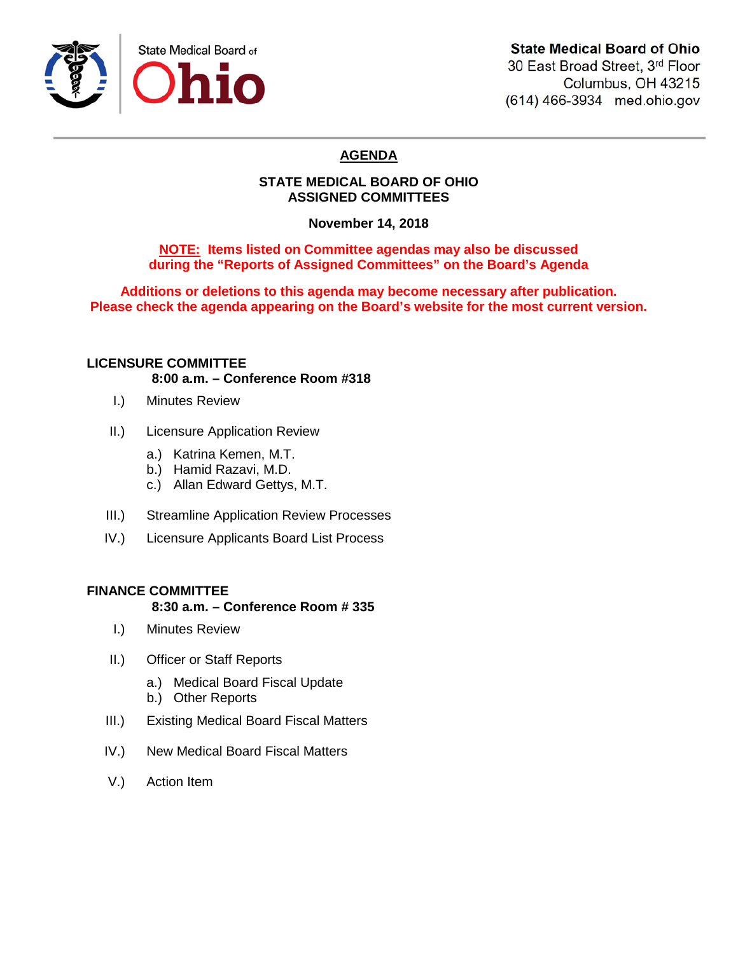

## **State Medical Board of Ohio**

30 East Broad Street, 3rd Floor Columbus, OH 43215 (614) 466-3934 med.ohio.gov

# **AGENDA**

### **STATE MEDICAL BOARD OF OHIO ASSIGNED COMMITTEES**

**November 14, 2018**

**NOTE: Items listed on Committee agendas may also be discussed during the "Reports of Assigned Committees" on the Board's Agenda**

**Additions or deletions to this agenda may become necessary after publication. Please check the agenda appearing on the Board's website for the most current version.**

### **LICENSURE COMMITTEE**

**8:00 a.m. – Conference Room #318**

- I.) Minutes Review
- II.) Licensure Application Review
	- a.) Katrina Kemen, M.T.
	- b.) Hamid Razavi, M.D.
	- c.) Allan Edward Gettys, M.T.
- III.) Streamline Application Review Processes
- IV.) Licensure Applicants Board List Process

### **FINANCE COMMITTEE**

### **8:30 a.m. – Conference Room # 335**

- I.) Minutes Review
- II.) Officer or Staff Reports
	- a.) Medical Board Fiscal Update
	- b.) Other Reports
- III.) Existing Medical Board Fiscal Matters
- IV.) New Medical Board Fiscal Matters
- V.) Action Item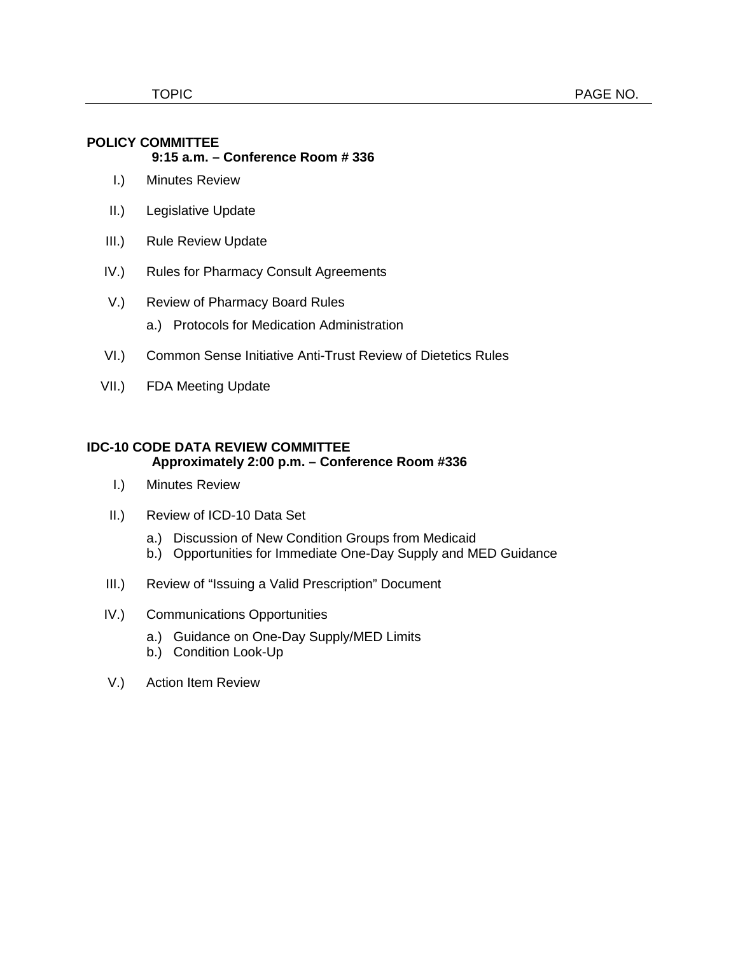#### **POLICY COMMITTEE**

#### **9:15 a.m. – Conference Room # 336**

- I.) Minutes Review
- II.) Legislative Update
- III.) Rule Review Update
- IV.) Rules for Pharmacy Consult Agreements
- V.) Review of Pharmacy Board Rules
	- a.) Protocols for Medication Administration
- VI.) Common Sense Initiative Anti-Trust Review of Dietetics Rules
- VII.) FDA Meeting Update

#### **IDC-10 CODE DATA REVIEW COMMITTEE Approximately 2:00 p.m. – Conference Room #336**

- I.) Minutes Review
- II.) Review of ICD-10 Data Set
	- a.) Discussion of New Condition Groups from Medicaid
	- b.) Opportunities for Immediate One-Day Supply and MED Guidance
- III.) Review of "Issuing a Valid Prescription" Document
- IV.) Communications Opportunities
	- a.) Guidance on One-Day Supply/MED Limits
	- b.) Condition Look-Up
- V.) Action Item Review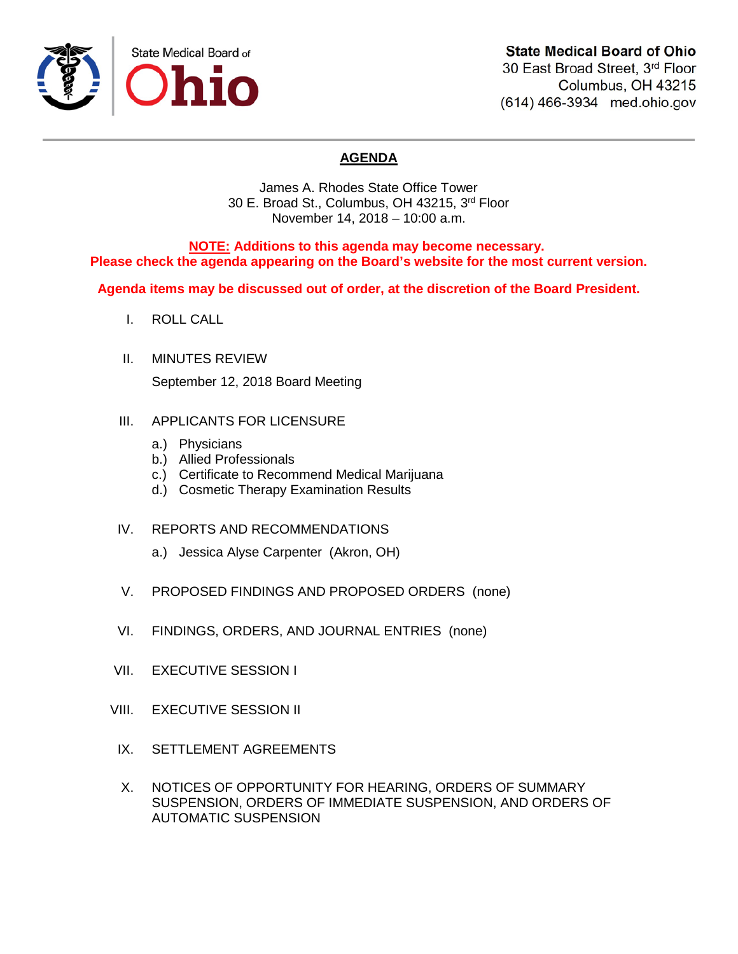

# **State Medical Board of Ohio**

30 East Broad Street, 3rd Floor Columbus, OH 43215 (614) 466-3934 med.ohio.gov

# **AGENDA**

James A. Rhodes State Office Tower 30 E. Broad St., Columbus, OH 43215, 3rd Floor November 14, 2018 – 10:00 a.m.

**NOTE: Additions to this agenda may become necessary. Please check the agenda appearing on the Board's website for the most current version.**

**Agenda items may be discussed out of order, at the discretion of the Board President.**

- I. ROLL CALL
- II. MINUTES REVIEW September 12, 2018 Board Meeting
- III. APPLICANTS FOR LICENSURE
	- a.) Physicians
	- b.) Allied Professionals
	- c.) Certificate to Recommend Medical Marijuana
	- d.) Cosmetic Therapy Examination Results
- IV. REPORTS AND RECOMMENDATIONS
	- a.) Jessica Alyse Carpenter (Akron, OH)
- V. PROPOSED FINDINGS AND PROPOSED ORDERS (none)
- VI. FINDINGS, ORDERS, AND JOURNAL ENTRIES (none)
- VII. EXECUTIVE SESSION I
- VIII. EXECUTIVE SESSION II
- IX. SETTLEMENT AGREEMENTS
- X. NOTICES OF OPPORTUNITY FOR HEARING, ORDERS OF SUMMARY SUSPENSION, ORDERS OF IMMEDIATE SUSPENSION, AND ORDERS OF AUTOMATIC SUSPENSION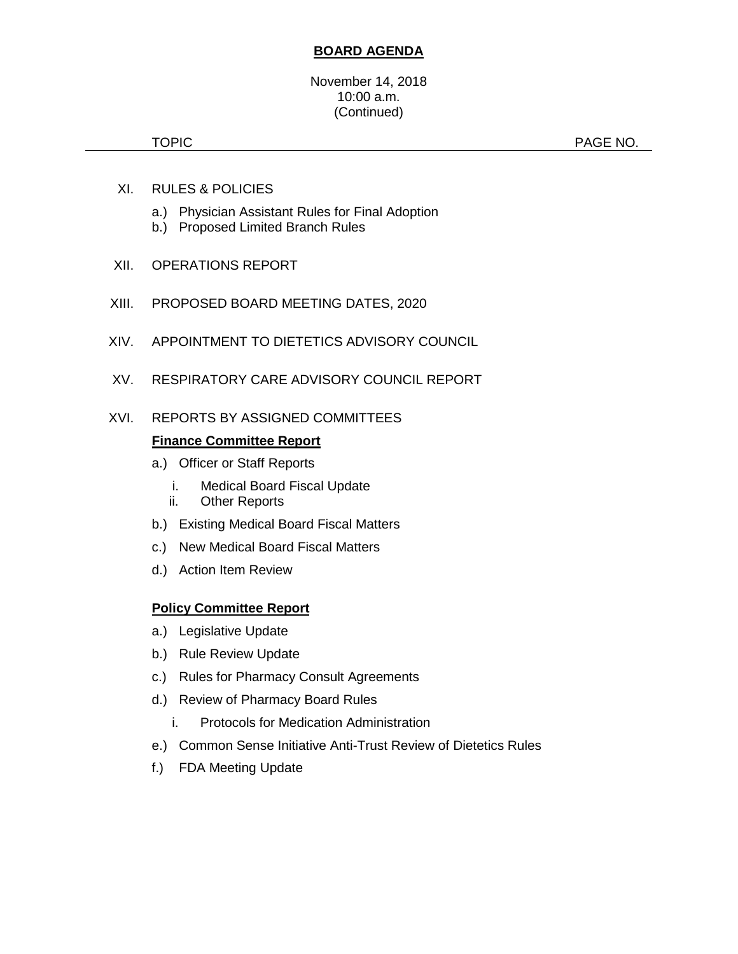### **BOARD AGENDA**

TOPIC **PAGE NO.** 

- XI. RULES & POLICIES
	- a.) Physician Assistant Rules for Final Adoption
	- b.) Proposed Limited Branch Rules
- XII. OPERATIONS REPORT
- XIII. PROPOSED BOARD MEETING DATES, 2020
- XIV. APPOINTMENT TO DIETETICS ADVISORY COUNCIL
- XV. RESPIRATORY CARE ADVISORY COUNCIL REPORT

### XVI. REPORTS BY ASSIGNED COMMITTEES

### **Finance Committee Report**

- a.) Officer or Staff Reports
	- i. Medical Board Fiscal Update
	- ii. Other Reports
- b.) Existing Medical Board Fiscal Matters
- c.) New Medical Board Fiscal Matters
- d.) Action Item Review

### **Policy Committee Report**

- a.) Legislative Update
- b.) Rule Review Update
- c.) Rules for Pharmacy Consult Agreements
- d.) Review of Pharmacy Board Rules
	- i. Protocols for Medication Administration
- e.) Common Sense Initiative Anti-Trust Review of Dietetics Rules
- f.) FDA Meeting Update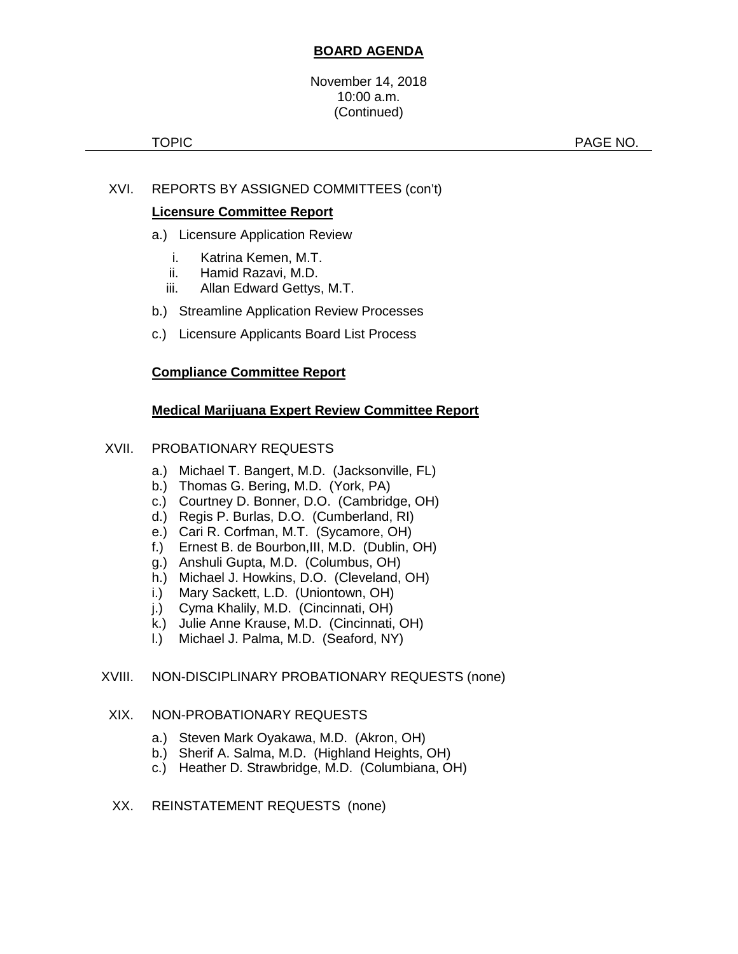### **BOARD AGENDA**

November 14, 2018 10:00 a.m. (Continued)

TOPIC **Example 2012 12:00 PAGE NO.** 

### XVI. REPORTS BY ASSIGNED COMMITTEES (con't)

### **Licensure Committee Report**

- a.) Licensure Application Review
	- i. Katrina Kemen, M.T.
	- ii. Hamid Razavi, M.D.
	- iii. Allan Edward Gettys, M.T.
- b.) Streamline Application Review Processes
- c.) Licensure Applicants Board List Process

### **Compliance Committee Report**

### **Medical Marijuana Expert Review Committee Report**

#### XVII. PROBATIONARY REQUESTS

- a.) Michael T. Bangert, M.D. (Jacksonville, FL)
- b.) Thomas G. Bering, M.D. (York, PA)
- c.) Courtney D. Bonner, D.O. (Cambridge, OH)
- d.) Regis P. Burlas, D.O. (Cumberland, RI)
- e.) Cari R. Corfman, M.T. (Sycamore, OH)
- f.) Ernest B. de Bourbon,III, M.D. (Dublin, OH)
- g.) Anshuli Gupta, M.D. (Columbus, OH)
- h.) Michael J. Howkins, D.O. (Cleveland, OH)
- i.) Mary Sackett, L.D. (Uniontown, OH)
- j.) Cyma Khalily, M.D. (Cincinnati, OH)
- k.) Julie Anne Krause, M.D. (Cincinnati, OH)
- l.) Michael J. Palma, M.D. (Seaford, NY)

#### XVIII. NON-DISCIPLINARY PROBATIONARY REQUESTS (none)

### XIX. NON-PROBATIONARY REQUESTS

- a.) Steven Mark Oyakawa, M.D. (Akron, OH)
- b.) Sherif A. Salma, M.D. (Highland Heights, OH)
- c.) Heather D. Strawbridge, M.D. (Columbiana, OH)
- XX. REINSTATEMENT REQUESTS (none)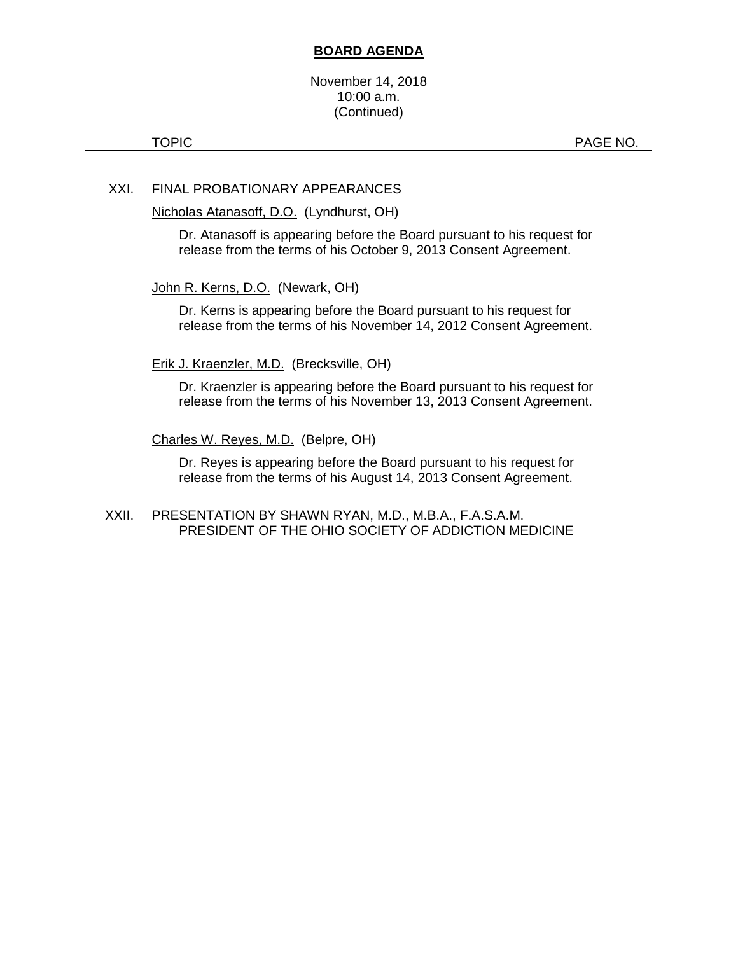### **BOARD AGENDA**

November 14, 2018 10:00 a.m. (Continued)

TOPIC **PAGE NO.** 

### XXI. FINAL PROBATIONARY APPEARANCES

Nicholas Atanasoff, D.O. (Lyndhurst, OH)

Dr. Atanasoff is appearing before the Board pursuant to his request for release from the terms of his October 9, 2013 Consent Agreement.

John R. Kerns, D.O. (Newark, OH)

Dr. Kerns is appearing before the Board pursuant to his request for release from the terms of his November 14, 2012 Consent Agreement.

Erik J. Kraenzler, M.D. (Brecksville, OH)

Dr. Kraenzler is appearing before the Board pursuant to his request for release from the terms of his November 13, 2013 Consent Agreement.

Charles W. Reyes, M.D. (Belpre, OH)

Dr. Reyes is appearing before the Board pursuant to his request for release from the terms of his August 14, 2013 Consent Agreement.

XXII. PRESENTATION BY SHAWN RYAN, M.D., M.B.A., F.A.S.A.M. PRESIDENT OF THE OHIO SOCIETY OF ADDICTION MEDICINE